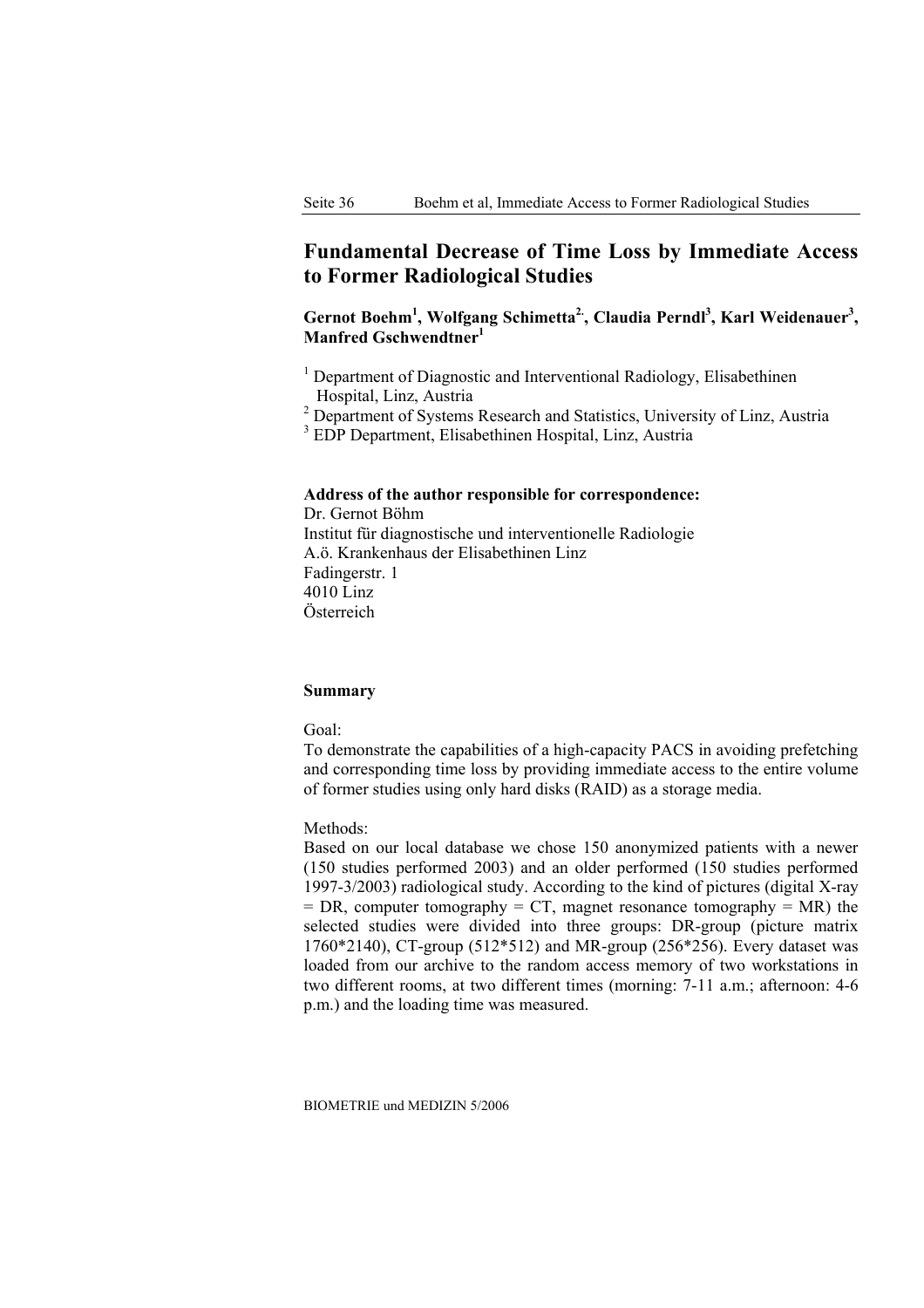# **Fundamental Decrease of Time Loss by Immediate Access to Former Radiological Studies**

Gernot Boehm<sup>1</sup>, Wolfgang Schimetta<sup>2</sup>, Claudia Perndl<sup>3</sup>, Karl Weidenauer<sup>3</sup>, **Manfred Gschwendtner1**

- <sup>1</sup> Department of Diagnostic and Interventional Radiology, Elisabethinen Hospital, Linz, Austria
- <sup>2</sup> Department of Systems Research and Statistics, University of Linz, Austria

3 EDP Department, Elisabethinen Hospital, Linz, Austria

#### **Address of the author responsible for correspondence:**

Dr. Gernot Böhm Institut für diagnostische und interventionelle Radiologie A.ö. Krankenhaus der Elisabethinen Linz Fadingerstr. 1 4010 Linz Österreich

## **Summary**

Goal:

To demonstrate the capabilities of a high-capacity PACS in avoiding prefetching and corresponding time loss by providing immediate access to the entire volume of former studies using only hard disks (RAID) as a storage media.

#### Methods:

Based on our local database we chose 150 anonymized patients with a newer (150 studies performed 2003) and an older performed (150 studies performed 1997-3/2003) radiological study. According to the kind of pictures (digital X-ray  $=$  DR, computer tomography  $=$  CT, magnet resonance tomography  $=$  MR) the selected studies were divided into three groups: DR-group (picture matrix 1760\*2140), CT-group (512\*512) and MR-group (256\*256). Every dataset was loaded from our archive to the random access memory of two workstations in two different rooms, at two different times (morning: 7-11 a.m.; afternoon: 4-6 p.m.) and the loading time was measured.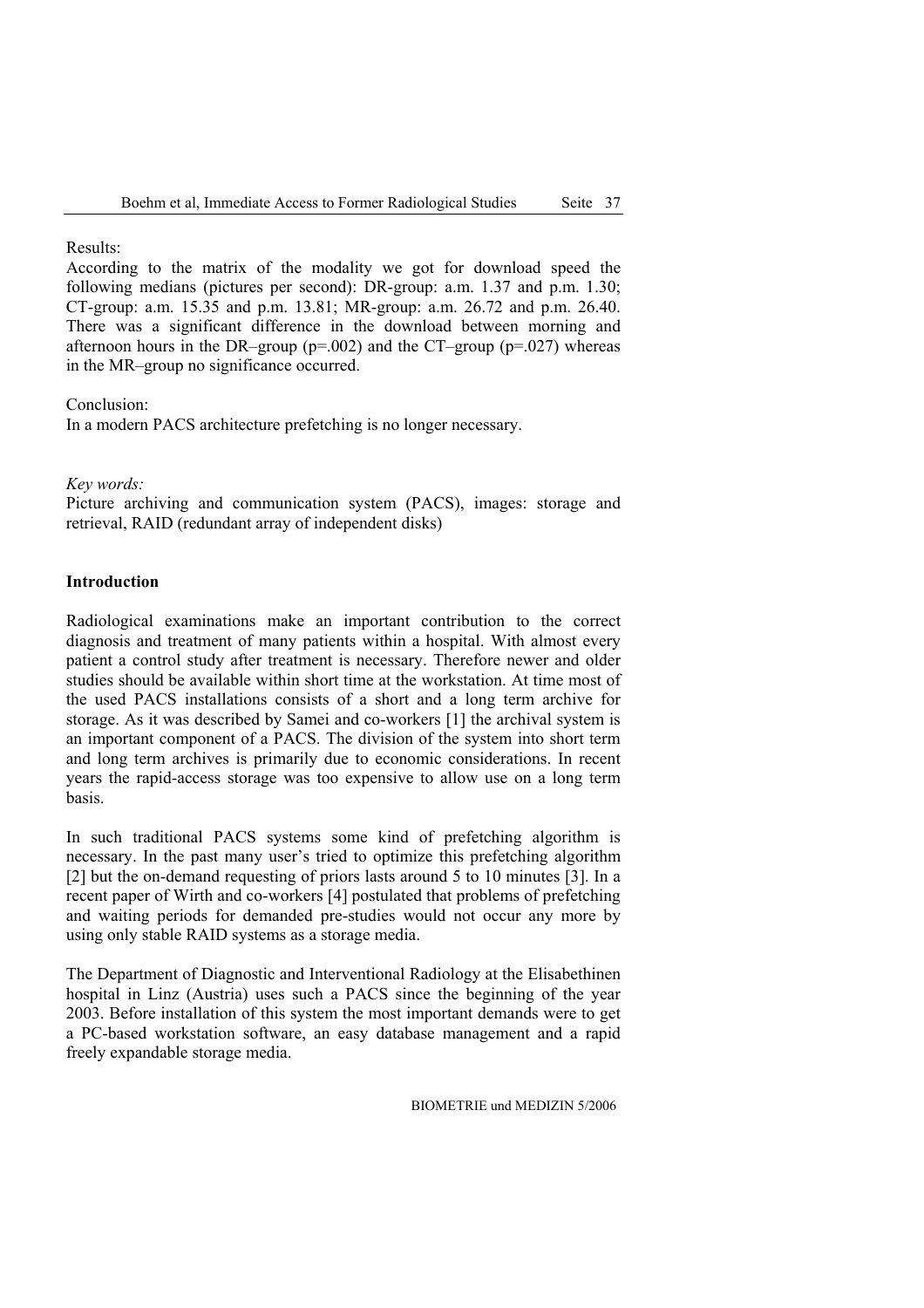Results:

According to the matrix of the modality we got for download speed the following medians (pictures per second): DR-group: a.m. 1.37 and p.m. 1.30; CT-group: a.m. 15.35 and p.m. 13.81; MR-group: a.m. 26.72 and p.m. 26.40. There was a significant difference in the download between morning and afternoon hours in the DR–group ( $p=0.002$ ) and the CT–group ( $p=0.027$ ) whereas in the MR–group no significance occurred.

Conclusion:

In a modern PACS architecture prefetching is no longer necessary.

*Key words:* 

Picture archiving and communication system (PACS), images: storage and retrieval, RAID (redundant array of independent disks)

## **Introduction**

Radiological examinations make an important contribution to the correct diagnosis and treatment of many patients within a hospital. With almost every patient a control study after treatment is necessary. Therefore newer and older studies should be available within short time at the workstation. At time most of the used PACS installations consists of a short and a long term archive for storage. As it was described by Samei and co-workers [1] the archival system is an important component of a PACS. The division of the system into short term and long term archives is primarily due to economic considerations. In recent years the rapid-access storage was too expensive to allow use on a long term basis.

In such traditional PACS systems some kind of prefetching algorithm is necessary. In the past many user's tried to optimize this prefetching algorithm [2] but the on-demand requesting of priors lasts around 5 to 10 minutes [3]. In a recent paper of Wirth and co-workers [4] postulated that problems of prefetching and waiting periods for demanded pre-studies would not occur any more by using only stable RAID systems as a storage media.

The Department of Diagnostic and Interventional Radiology at the Elisabethinen hospital in Linz (Austria) uses such a PACS since the beginning of the year 2003. Before installation of this system the most important demands were to get a PC-based workstation software, an easy database management and a rapid freely expandable storage media.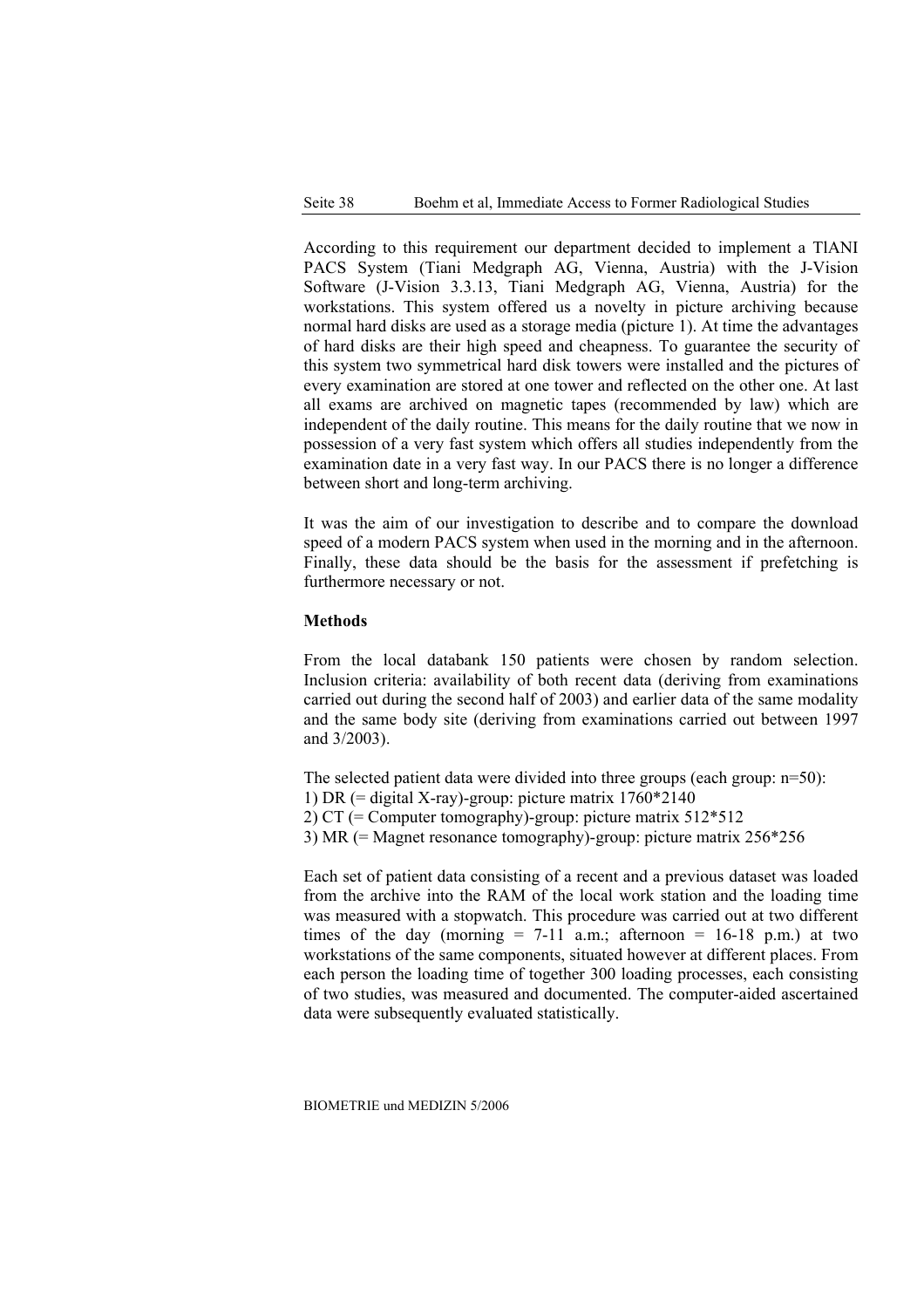According to this requirement our department decided to implement a TlANI PACS System (Tiani Medgraph AG, Vienna, Austria) with the J-Vision Software (J-Vision 3.3.13, Tiani Medgraph AG, Vienna, Austria) for the workstations. This system offered us a novelty in picture archiving because normal hard disks are used as a storage media (picture 1). At time the advantages of hard disks are their high speed and cheapness. To guarantee the security of this system two symmetrical hard disk towers were installed and the pictures of every examination are stored at one tower and reflected on the other one. At last all exams are archived on magnetic tapes (recommended by law) which are independent of the daily routine. This means for the daily routine that we now in possession of a very fast system which offers all studies independently from the examination date in a very fast way. In our PACS there is no longer a difference between short and long-term archiving.

It was the aim of our investigation to describe and to compare the download speed of a modern PACS system when used in the morning and in the afternoon. Finally, these data should be the basis for the assessment if prefetching is furthermore necessary or not.

#### **Methods**

From the local databank 150 patients were chosen by random selection. Inclusion criteria: availability of both recent data (deriving from examinations carried out during the second half of 2003) and earlier data of the same modality and the same body site (deriving from examinations carried out between 1997 and 3/2003).

The selected patient data were divided into three groups (each group: n=50):

- 1) DR (= digital X-ray)-group: picture matrix  $1760*2140$
- 2) CT (= Computer tomography)-group: picture matrix 512\*512
- 3) MR (= Magnet resonance tomography)-group: picture matrix 256\*256

Each set of patient data consisting of a recent and a previous dataset was loaded from the archive into the RAM of the local work station and the loading time was measured with a stopwatch. This procedure was carried out at two different times of the day (morning  $= 7-11$  a.m.; afternoon  $= 16-18$  p.m.) at two workstations of the same components, situated however at different places. From each person the loading time of together 300 loading processes, each consisting of two studies, was measured and documented. The computer-aided ascertained data were subsequently evaluated statistically.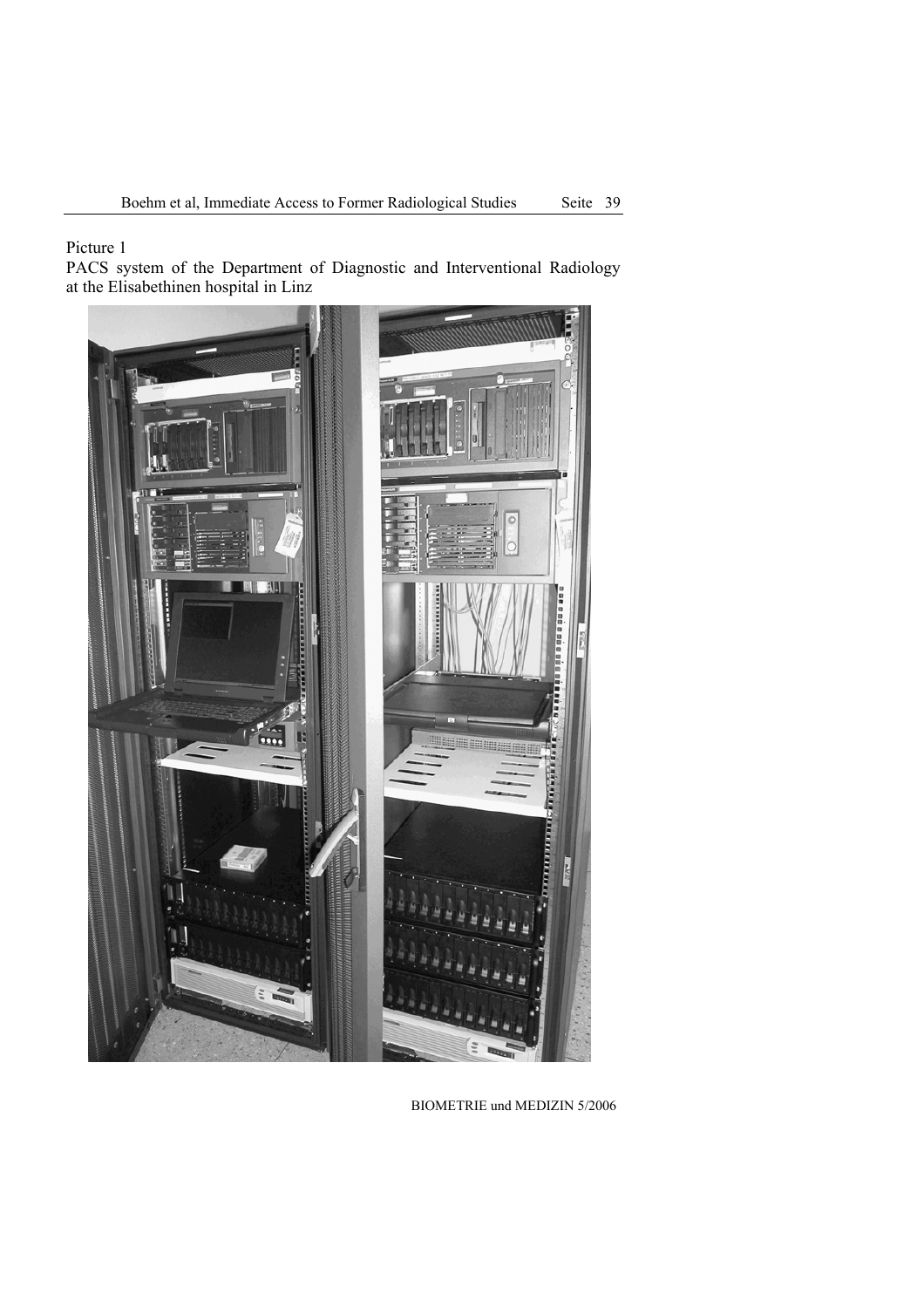Picture 1

PACS system of the Department of Diagnostic and Interventional Radiology at the Elisabethinen hospital in Linz

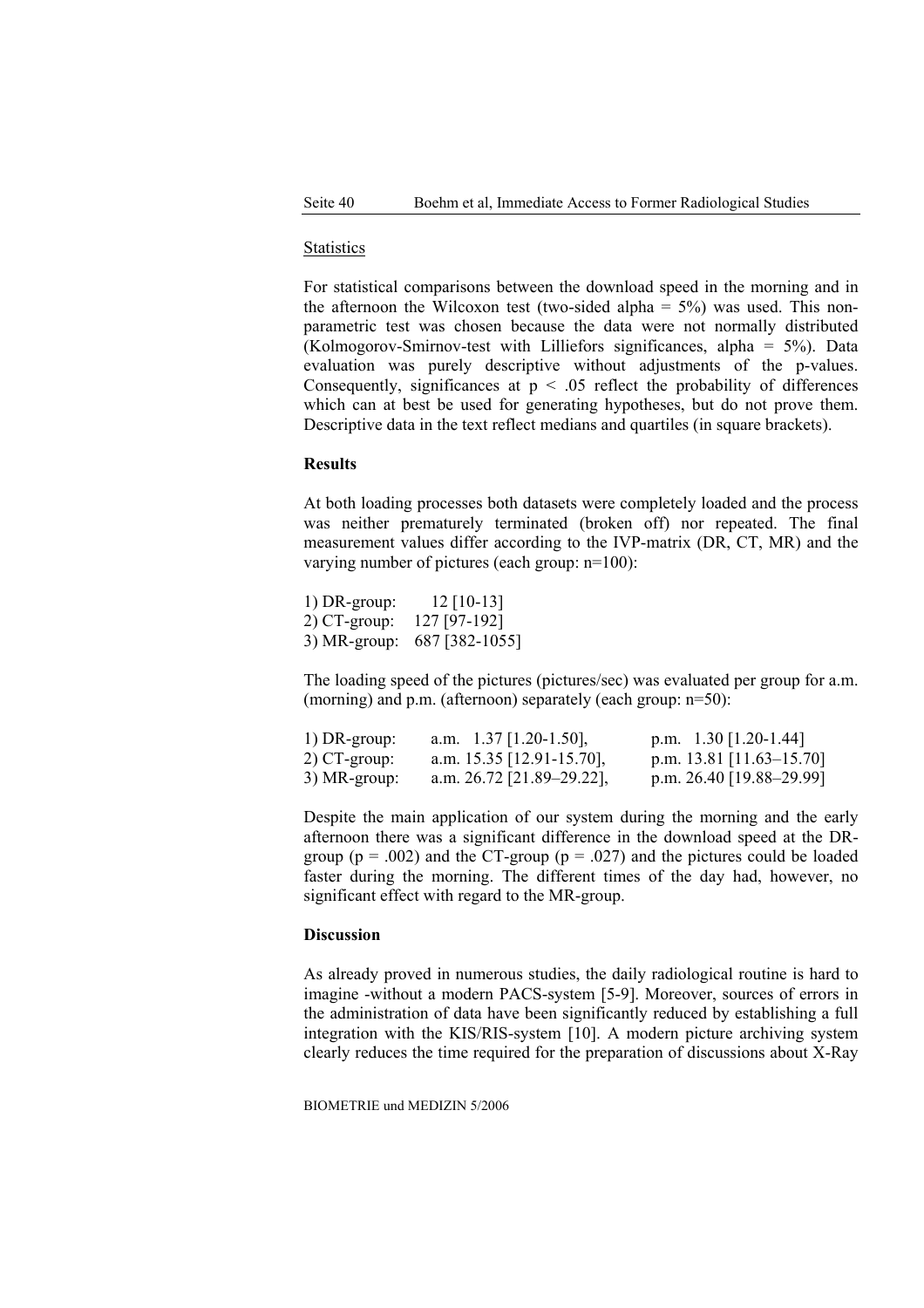#### **Statistics**

For statistical comparisons between the download speed in the morning and in the afternoon the Wilcoxon test (two-sided alpha  $= 5\%$ ) was used. This nonparametric test was chosen because the data were not normally distributed (Kolmogorov-Smirnov-test with Lilliefors significances, alpha = 5%). Data evaluation was purely descriptive without adjustments of the p-values. Consequently, significances at  $p \leq 0.05$  reflect the probability of differences which can at best be used for generating hypotheses, but do not prove them. Descriptive data in the text reflect medians and quartiles (in square brackets).

## **Results**

At both loading processes both datasets were completely loaded and the process was neither prematurely terminated (broken off) nor repeated. The final measurement values differ according to the IVP-matrix (DR, CT, MR) and the varying number of pictures (each group: n=100):

| $1)$ DR-group: | $12$ [10-13]   |
|----------------|----------------|
| 2) CT-group:   | 127 [97-192]   |
| 3) MR-group:   | 687 [382-1055] |

The loading speed of the pictures (pictures/sec) was evaluated per group for a.m. (morning) and p.m. (afternoon) separately (each group: n=50):

| $1)$ DR-group: | a.m. $1.37$   1.20-1.50],   | p.m. $1.30$ [1.20-1.44]      |
|----------------|-----------------------------|------------------------------|
| $2)$ CT-group: | a.m. $15.35$ [12.91-15.70], | p.m. 13.81 $[11.63 - 15.70]$ |
| 3) MR-group:   | a.m. $26.72$ [21.89–29.22], | p.m. $26.40$ [19.88–29.99]   |

Despite the main application of our system during the morning and the early afternoon there was a significant difference in the download speed at the DRgroup ( $p = .002$ ) and the CT-group ( $p = .027$ ) and the pictures could be loaded faster during the morning. The different times of the day had, however, no significant effect with regard to the MR-group.

## **Discussion**

As already proved in numerous studies, the daily radiological routine is hard to imagine -without a modern PACS-system [5-9]. Moreover, sources of errors in the administration of data have been significantly reduced by establishing a full integration with the KIS/RIS-system [10]. A modern picture archiving system clearly reduces the time required for the preparation of discussions about X-Ray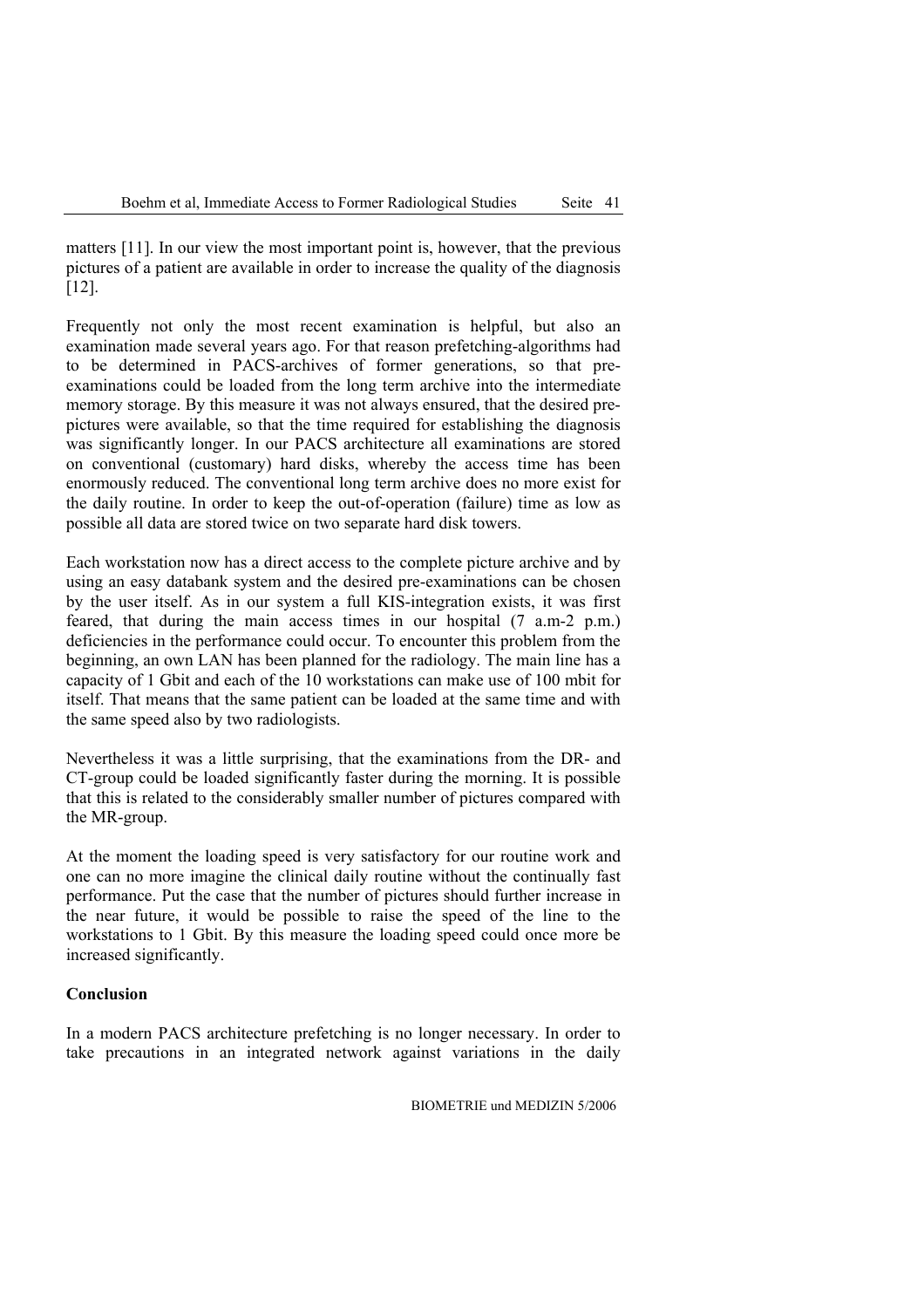matters [11]. In our view the most important point is, however, that the previous pictures of a patient are available in order to increase the quality of the diagnosis [12].

Frequently not only the most recent examination is helpful, but also an examination made several years ago. For that reason prefetching-algorithms had to be determined in PACS-archives of former generations, so that preexaminations could be loaded from the long term archive into the intermediate memory storage. By this measure it was not always ensured, that the desired prepictures were available, so that the time required for establishing the diagnosis was significantly longer. In our PACS architecture all examinations are stored on conventional (customary) hard disks, whereby the access time has been enormously reduced. The conventional long term archive does no more exist for the daily routine. In order to keep the out-of-operation (failure) time as low as possible all data are stored twice on two separate hard disk towers.

Each workstation now has a direct access to the complete picture archive and by using an easy databank system and the desired pre-examinations can be chosen by the user itself. As in our system a full KIS-integration exists, it was first feared, that during the main access times in our hospital (7 a.m-2 p.m.) deficiencies in the performance could occur. To encounter this problem from the beginning, an own LAN has been planned for the radiology. The main line has a capacity of 1 Gbit and each of the 10 workstations can make use of 100 mbit for itself. That means that the same patient can be loaded at the same time and with the same speed also by two radiologists.

Nevertheless it was a little surprising, that the examinations from the DR- and CT-group could be loaded significantly faster during the morning. It is possible that this is related to the considerably smaller number of pictures compared with the MR-group.

At the moment the loading speed is very satisfactory for our routine work and one can no more imagine the clinical daily routine without the continually fast performance. Put the case that the number of pictures should further increase in the near future, it would be possible to raise the speed of the line to the workstations to 1 Gbit. By this measure the loading speed could once more be increased significantly.

#### **Conclusion**

In a modern PACS architecture prefetching is no longer necessary. In order to take precautions in an integrated network against variations in the daily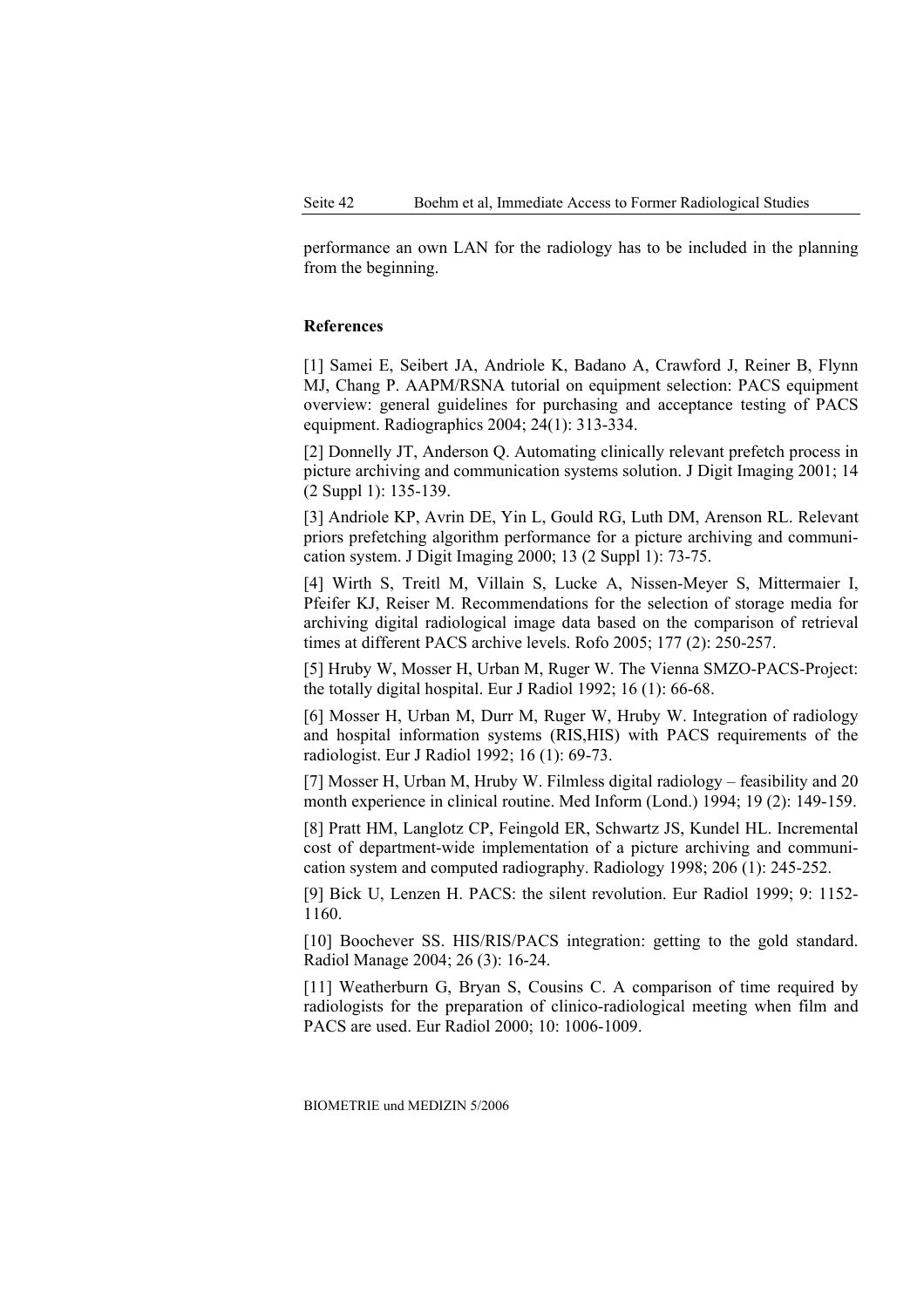performance an own LAN for the radiology has to be included in the planning from the beginning.

#### **References**

[1] Samei E, Seibert JA, Andriole K, Badano A, Crawford J, Reiner B, Flynn MJ, Chang P. AAPM/RSNA tutorial on equipment selection: PACS equipment overview: general guidelines for purchasing and acceptance testing of PACS equipment. Radiographics 2004; 24(1): 313-334.

[2] Donnelly JT, Anderson Q. Automating clinically relevant prefetch process in picture archiving and communication systems solution. J Digit Imaging 2001; 14 (2 Suppl 1): 135-139.

[3] Andriole KP, Avrin DE, Yin L, Gould RG, Luth DM, Arenson RL. Relevant priors prefetching algorithm performance for a picture archiving and communication system. J Digit Imaging 2000; 13 (2 Suppl 1): 73-75.

[4] Wirth S, Treitl M, Villain S, Lucke A, Nissen-Meyer S, Mittermaier I, Pfeifer KJ, Reiser M. Recommendations for the selection of storage media for archiving digital radiological image data based on the comparison of retrieval times at different PACS archive levels. Rofo 2005; 177 (2): 250-257.

[5] Hruby W, Mosser H, Urban M, Ruger W. The Vienna SMZO-PACS-Project: the totally digital hospital. Eur J Radiol 1992; 16 (1): 66-68.

[6] Mosser H, Urban M, Durr M, Ruger W, Hruby W. Integration of radiology and hospital information systems (RIS,HIS) with PACS requirements of the radiologist. Eur J Radiol 1992; 16 (1): 69-73.

[7] Mosser H, Urban M, Hruby W. Filmless digital radiology – feasibility and 20 month experience in clinical routine. Med Inform (Lond.) 1994; 19 (2): 149-159.

[8] Pratt HM, Langlotz CP, Feingold ER, Schwartz JS, Kundel HL. Incremental cost of department-wide implementation of a picture archiving and communication system and computed radiography. Radiology 1998; 206 (1): 245-252.

[9] Bick U, Lenzen H. PACS: the silent revolution. Eur Radiol 1999; 9: 1152- 1160.

[10] Boochever SS. HIS/RIS/PACS integration: getting to the gold standard. Radiol Manage 2004; 26 (3): 16-24.

[11] Weatherburn G, Bryan S, Cousins C. A comparison of time required by radiologists for the preparation of clinico-radiological meeting when film and PACS are used. Eur Radiol 2000; 10: 1006-1009.